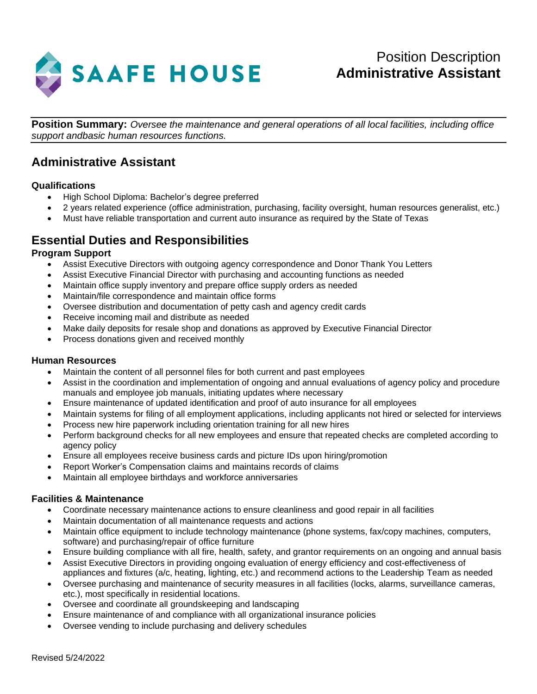

**Position Summary:** *Oversee the maintenance and general operations of all local facilities, including office support andbasic human resources functions.*

# **Administrative Assistant**

## **Qualifications**

- High School Diploma: Bachelor's degree preferred
- 2 years related experience (office administration, purchasing, facility oversight, human resources generalist, etc.)
- Must have reliable transportation and current auto insurance as required by the State of Texas

# **Essential Duties and Responsibilities**

### **Program Support**

- Assist Executive Directors with outgoing agency correspondence and Donor Thank You Letters
- Assist Executive Financial Director with purchasing and accounting functions as needed
- Maintain office supply inventory and prepare office supply orders as needed
- Maintain/file correspondence and maintain office forms
- Oversee distribution and documentation of petty cash and agency credit cards
- Receive incoming mail and distribute as needed
- Make daily deposits for resale shop and donations as approved by Executive Financial Director
- Process donations given and received monthly

#### **Human Resources**

- Maintain the content of all personnel files for both current and past employees
- Assist in the coordination and implementation of ongoing and annual evaluations of agency policy and procedure manuals and employee job manuals, initiating updates where necessary
- Ensure maintenance of updated identification and proof of auto insurance for all employees
- Maintain systems for filing of all employment applications, including applicants not hired or selected for interviews
- Process new hire paperwork including orientation training for all new hires
- Perform background checks for all new employees and ensure that repeated checks are completed according to agency policy
- Ensure all employees receive business cards and picture IDs upon hiring/promotion
- Report Worker's Compensation claims and maintains records of claims
- Maintain all employee birthdays and workforce anniversaries

#### **Facilities & Maintenance**

- Coordinate necessary maintenance actions to ensure cleanliness and good repair in all facilities
- Maintain documentation of all maintenance requests and actions
- Maintain office equipment to include technology maintenance (phone systems, fax/copy machines, computers, software) and purchasing/repair of office furniture
- Ensure building compliance with all fire, health, safety, and grantor requirements on an ongoing and annual basis
- Assist Executive Directors in providing ongoing evaluation of energy efficiency and cost-effectiveness of appliances and fixtures (a/c, heating, lighting, etc.) and recommend actions to the Leadership Team as needed
- Oversee purchasing and maintenance of security measures in all facilities (locks, alarms, surveillance cameras, etc.), most specifically in residential locations.
- Oversee and coordinate all groundskeeping and landscaping
- Ensure maintenance of and compliance with all organizational insurance policies
- Oversee vending to include purchasing and delivery schedules